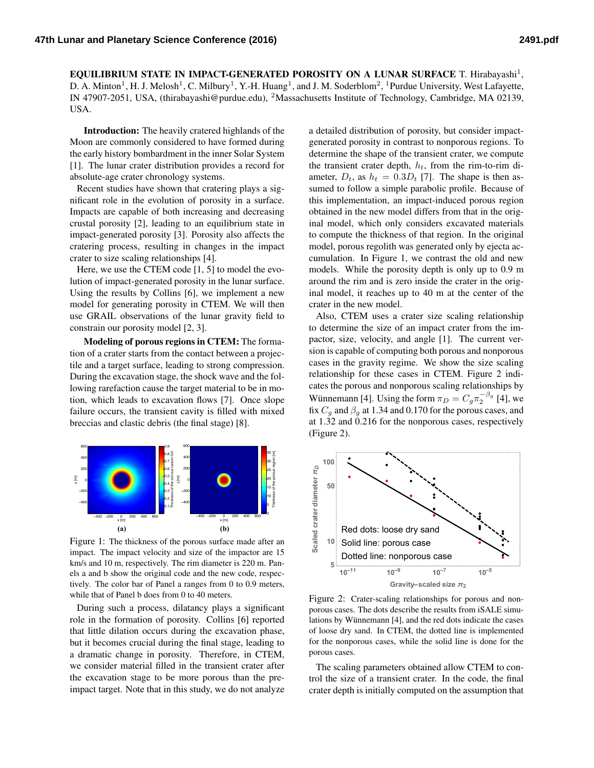EQUILIBRIUM STATE IN IMPACT-GENERATED POROSITY ON A LUNAR SURFACE T. Hirabayashi<sup>1</sup>, D. A. Minton<sup>1</sup>, H. J. Melosh<sup>1</sup>, C. Milbury<sup>1</sup>, Y.-H. Huang<sup>1</sup>, and J. M. Soderblom<sup>2</sup>, <sup>1</sup>Purdue University, West Lafayette, IN 47907-2051, USA, (thirabayashi@purdue.edu), <sup>2</sup>Massachusetts Institute of Technology, Cambridge, MA 02139, USA.

Introduction: The heavily cratered highlands of the Moon are commonly considered to have formed during the early history bombardment in the inner Solar System [\[1\]](#page-1-0). The lunar crater distribution provides a record for absolute-age crater chronology systems.

Recent studies have shown that cratering plays a significant role in the evolution of porosity in a surface. Impacts are capable of both increasing and decreasing crustal porosity [\[2\]](#page-1-1), leading to an equilibrium state in impact-generated porosity [\[3\]](#page-1-2). Porosity also affects the cratering process, resulting in changes in the impact crater to size scaling relationships [\[4\]](#page-1-3).

Here, we use the CTEM code [\[1,](#page-1-0) [5\]](#page-1-4) to model the evolution of impact-generated porosity in the lunar surface. Using the results by Collins [\[6\]](#page-1-5), we implement a new model for generating porosity in CTEM. We will then use GRAIL observations of the lunar gravity field to constrain our porosity model [\[2,](#page-1-1) [3\]](#page-1-2).

Modeling of porous regions in CTEM: The formation of a crater starts from the contact between a projectile and a target surface, leading to strong compression. During the excavation stage, the shock wave and the following rarefaction cause the target material to be in motion, which leads to excavation flows [\[7\]](#page-1-6). Once slope failure occurs, the transient cavity is filled with mixed breccias and clastic debris (the final stage) [\[8\]](#page-1-7).



<span id="page-0-0"></span>Figure 1: The thickness of the porous surface made after an impact. The impact velocity and size of the impactor are 15 km/s and 10 m, respectively. The rim diameter is 220 m. Panels a and b show the original code and the new code, respectively. The color bar of Panel a ranges from 0 to 0.9 meters, while that of Panel b does from 0 to 40 meters.

During such a process, dilatancy plays a significant role in the formation of porosity. Collins [\[6\]](#page-1-5) reported that little dilation occurs during the excavation phase, but it becomes crucial during the final stage, leading to a dramatic change in porosity. Therefore, in CTEM, we consider material filled in the transient crater after the excavation stage to be more porous than the preimpact target. Note that in this study, we do not analyze a detailed distribution of porosity, but consider impactgenerated porosity in contrast to nonporous regions. To determine the shape of the transient crater, we compute the transient crater depth,  $h_t$ , from the rim-to-rim diameter,  $D_t$ , as  $h_t = 0.3D_t$  [\[7\]](#page-1-6). The shape is then assumed to follow a simple parabolic profile. Because of this implementation, an impact-induced porous region obtained in the new model differs from that in the original model, which only considers excavated materials to compute the thickness of that region. In the original model, porous regolith was generated only by ejecta accumulation. In Figure [1,](#page-0-0) we contrast the old and new models. While the porosity depth is only up to 0.9 m around the rim and is zero inside the crater in the original model, it reaches up to 40 m at the center of the crater in the new model.

Also, CTEM uses a crater size scaling relationship to determine the size of an impact crater from the impactor, size, velocity, and angle [\[1\]](#page-1-0). The current version is capable of computing both porous and nonporous cases in the gravity regime. We show the size scaling relationship for these cases in CTEM. Figure [2](#page-0-1) indicates the porous and nonporous scaling relationships by Wünnemann [[4\]](#page-1-3). Using the form  $\pi_D = C_g \pi_2^{-\beta_g}$  [\[4\]](#page-1-3), we fix  $C_g$  and  $\beta_g$  at 1.34 and 0.170 for the porous cases, and at 1.32 and 0.216 for the nonporous cases, respectively (Figure [2\)](#page-0-1).



<span id="page-0-1"></span>Figure 2: Crater-scaling relationships for porous and nonporous cases. The dots describe the results from iSALE simu-lations by Wünnemann [[4\]](#page-1-3), and the red dots indicate the cases of loose dry sand. In CTEM, the dotted line is implemented for the nonporous cases, while the solid line is done for the porous cases.

The scaling parameters obtained allow CTEM to control the size of a transient crater. In the code, the final crater depth is initially computed on the assumption that